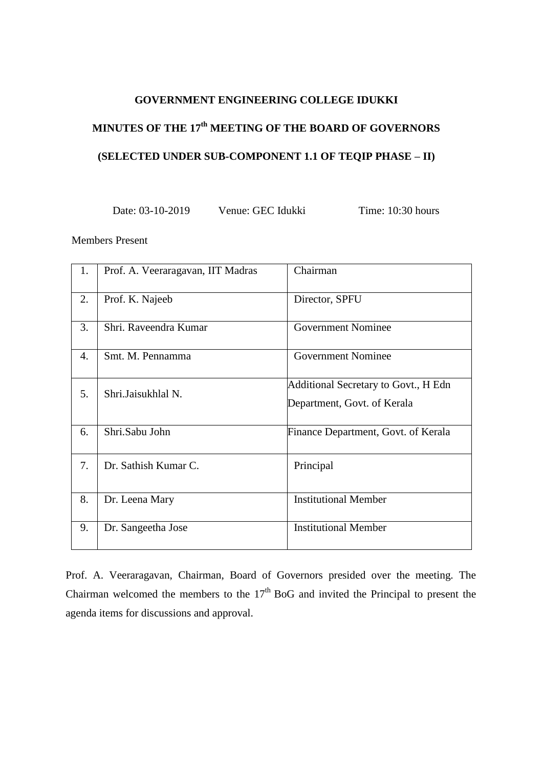## **GOVERNMENT ENGINEERING COLLEGE IDUKKI**

# **MINUTES OF THE 17 th MEETING OF THE BOARD OF GOVERNORS (SELECTED UNDER SUB-COMPONENT 1.1 OF TEQIP PHASE – II)**

Date: 03-10-2019 Venue: GEC Idukki Time: 10:30 hours

Members Present

| 1. | Prof. A. Veeraragavan, IIT Madras | Chairman                                                            |
|----|-----------------------------------|---------------------------------------------------------------------|
| 2. | Prof. K. Najeeb                   | Director, SPFU                                                      |
| 3. | Shri, Raveendra Kumar             | <b>Government Nominee</b>                                           |
| 4. | Smt. M. Pennamma                  | <b>Government Nominee</b>                                           |
| 5. | Shri.Jaisukhlal N.                | Additional Secretary to Govt., H Edn<br>Department, Govt. of Kerala |
| 6. | Shri.Sabu John                    | Finance Department, Govt. of Kerala                                 |
| 7. | Dr. Sathish Kumar C.              | Principal                                                           |
| 8. | Dr. Leena Mary                    | <b>Institutional Member</b>                                         |
| 9. | Dr. Sangeetha Jose                | <b>Institutional Member</b>                                         |

Prof. A. Veeraragavan, Chairman, Board of Governors presided over the meeting. The Chairman welcomed the members to the  $17<sup>th</sup>$  BoG and invited the Principal to present the agenda items for discussions and approval.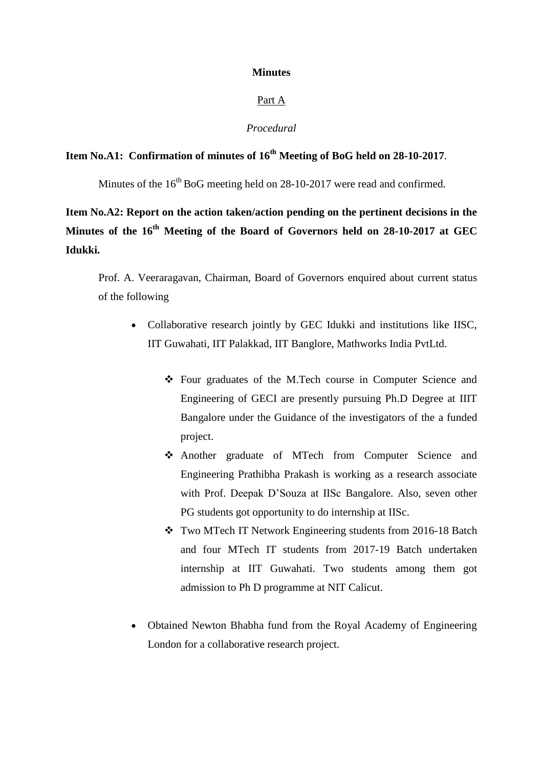#### **Minutes**

#### Part A

#### *Procedural*

# **Item No.A1: Confirmation of minutes of 16th Meeting of BoG held on 28-10-2017**.

Minutes of the  $16<sup>th</sup>$  BoG meeting held on 28-10-2017 were read and confirmed.

**Item No.A2: Report on the action taken/action pending on the pertinent decisions in the Minutes of the 16th Meeting of the Board of Governors held on 28-10-2017 at GEC Idukki.**

Prof. A. Veeraragavan, Chairman, Board of Governors enquired about current status of the following

- Collaborative research jointly by GEC Idukki and institutions like IISC, IIT Guwahati, IIT Palakkad, IIT Banglore, Mathworks India PvtLtd.
	- Four graduates of the M.Tech course in Computer Science and Engineering of GECI are presently pursuing Ph.D Degree at IIIT Bangalore under the Guidance of the investigators of the a funded project.
	- Another graduate of MTech from Computer Science and Engineering Prathibha Prakash is working as a research associate with Prof. Deepak D'Souza at IISc Bangalore. Also, seven other PG students got opportunity to do internship at IISc.
	- \* Two MTech IT Network Engineering students from 2016-18 Batch and four MTech IT students from 2017-19 Batch undertaken internship at IIT Guwahati. Two students among them got admission to Ph D programme at NIT Calicut.
- Obtained Newton Bhabha fund from the Royal Academy of Engineering London for a collaborative research project.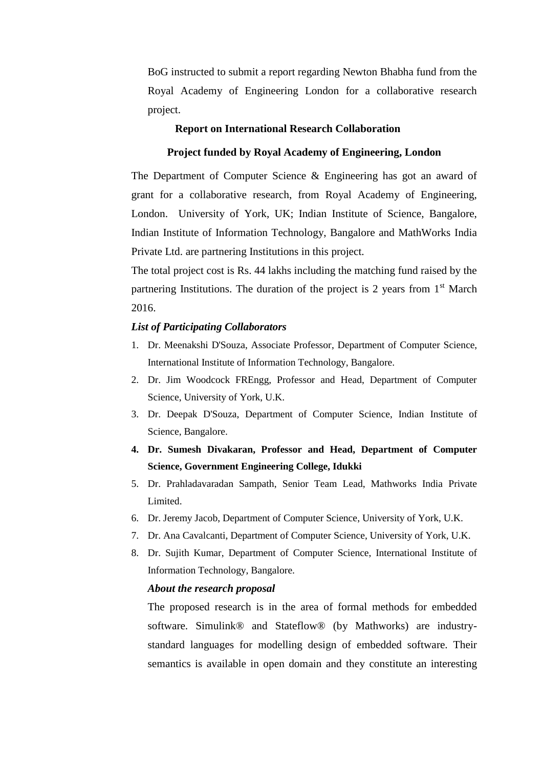BoG instructed to submit a report regarding Newton Bhabha fund from the Royal Academy of Engineering London for a collaborative research project.

#### **Report on International Research Collaboration**

#### **Project funded by Royal Academy of Engineering, London**

The Department of Computer Science & Engineering has got an award of grant for a collaborative research, from Royal Academy of Engineering, London. University of York, UK; Indian Institute of Science, Bangalore, Indian Institute of Information Technology, Bangalore and MathWorks India Private Ltd. are partnering Institutions in this project.

The total project cost is Rs. 44 lakhs including the matching fund raised by the partnering Institutions. The duration of the project is 2 years from  $1<sup>st</sup>$  March 2016.

#### *List of Participating Collaborators*

- 1. Dr. Meenakshi D'Souza, Associate Professor, Department of Computer Science, International Institute of Information Technology, Bangalore.
- 2. Dr. Jim Woodcock FREngg, Professor and Head, Department of Computer Science, University of York, U.K.
- 3. Dr. Deepak D'Souza, Department of Computer Science, Indian Institute of Science, Bangalore.
- **4. Dr. Sumesh Divakaran, Professor and Head, Department of Computer Science, Government Engineering College, Idukki**
- 5. Dr. Prahladavaradan Sampath, Senior Team Lead, Mathworks India Private Limited.
- 6. Dr. Jeremy Jacob, Department of Computer Science, University of York, U.K.
- 7. Dr. Ana Cavalcanti, Department of Computer Science, University of York, U.K.
- 8. Dr. Sujith Kumar, Department of Computer Science, International Institute of Information Technology, Bangalore.

#### *About the research proposal*

The proposed research is in the area of formal methods for embedded software. Simulink® and Stateflow® (by Mathworks) are industrystandard languages for modelling design of embedded software. Their semantics is available in open domain and they constitute an interesting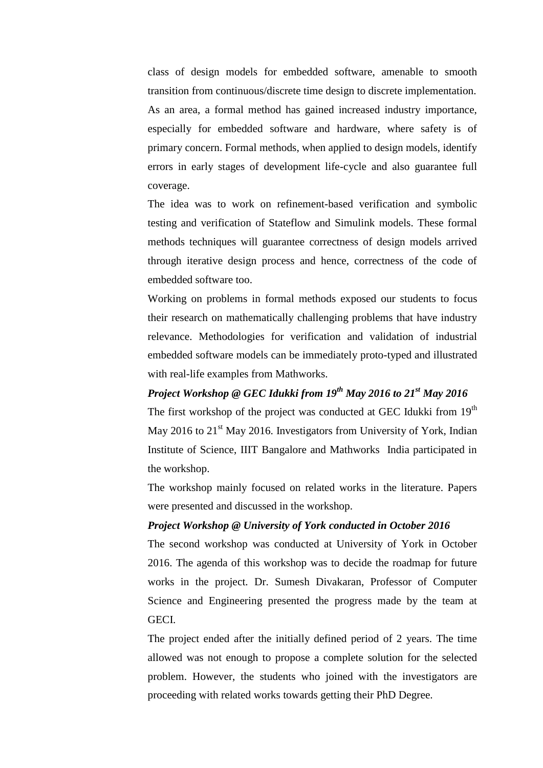class of design models for embedded software, amenable to smooth transition from continuous/discrete time design to discrete implementation. As an area, a formal method has gained increased industry importance, especially for embedded software and hardware, where safety is of primary concern. Formal methods, when applied to design models, identify errors in early stages of development life-cycle and also guarantee full coverage.

The idea was to work on refinement-based verification and symbolic testing and verification of Stateflow and Simulink models. These formal methods techniques will guarantee correctness of design models arrived through iterative design process and hence, correctness of the code of embedded software too.

Working on problems in formal methods exposed our students to focus their research on mathematically challenging problems that have industry relevance. Methodologies for verification and validation of industrial embedded software models can be immediately proto-typed and illustrated with real-life examples from Mathworks.

# *Project Workshop @ GEC Idukki from 19th May 2016 to 21st May 2016*

The first workshop of the project was conducted at GEC Idukki from 19<sup>th</sup> May 2016 to  $21<sup>st</sup>$  May 2016. Investigators from University of York, Indian Institute of Science, IIIT Bangalore and Mathworks India participated in the workshop.

The workshop mainly focused on related works in the literature. Papers were presented and discussed in the workshop.

# *Project Workshop @ University of York conducted in October 2016*

The second workshop was conducted at University of York in October 2016. The agenda of this workshop was to decide the roadmap for future works in the project. Dr. Sumesh Divakaran, Professor of Computer Science and Engineering presented the progress made by the team at GECI.

The project ended after the initially defined period of 2 years. The time allowed was not enough to propose a complete solution for the selected problem. However, the students who joined with the investigators are proceeding with related works towards getting their PhD Degree.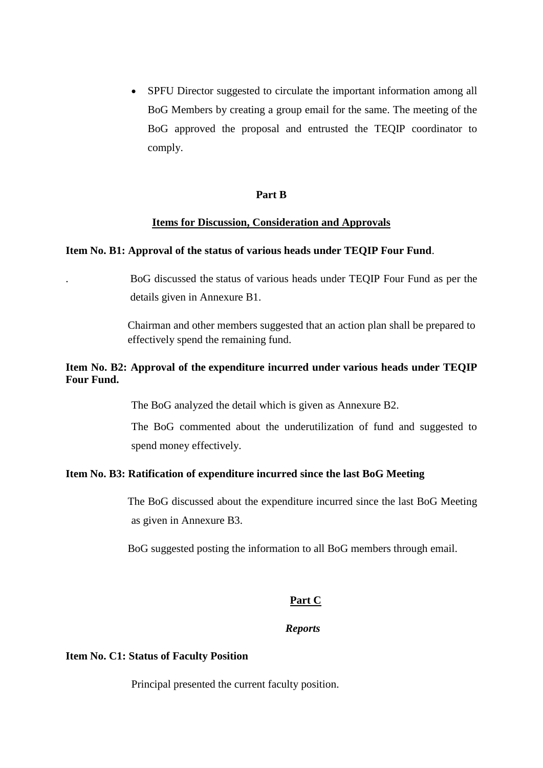• SPFU Director suggested to circulate the important information among all BoG Members by creating a group email for the same. The meeting of the BoG approved the proposal and entrusted the TEQIP coordinator to comply.

#### **Part B**

#### **Items for Discussion, Consideration and Approvals**

#### **Item No. B1: Approval of the status of various heads under TEQIP Four Fund**.

. BoG discussed the status of various heads under TEQIP Four Fund as per the details given in Annexure B1.

Chairman and other members suggested that an action plan shall be prepared to effectively spend the remaining fund.

# **Item No. B2: Approval of the expenditure incurred under various heads under TEQIP Four Fund.**

The BoG analyzed the detail which is given as Annexure B2.

The BoG commented about the underutilization of fund and suggested to spend money effectively.

#### **Item No. B3: Ratification of expenditure incurred since the last BoG Meeting**

The BoG discussed about the expenditure incurred since the last BoG Meeting as given in Annexure B3.

BoG suggested posting the information to all BoG members through email.

#### **Part C**

#### *Reports*

#### **Item No. C1: Status of Faculty Position**

Principal presented the current faculty position.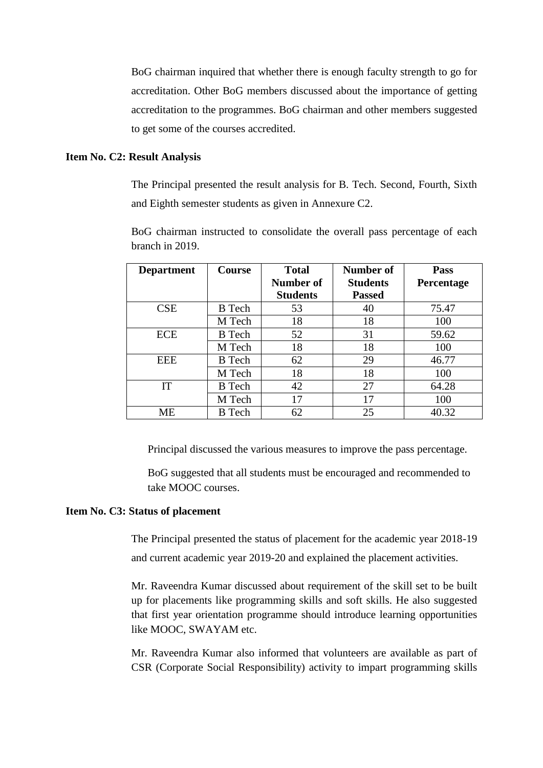BoG chairman inquired that whether there is enough faculty strength to go for accreditation. Other BoG members discussed about the importance of getting accreditation to the programmes. BoG chairman and other members suggested to get some of the courses accredited.

## **Item No. C2: Result Analysis**

The Principal presented the result analysis for B. Tech. Second, Fourth, Sixth and Eighth semester students as given in Annexure C2.

| <b>Department</b> | <b>Course</b> | <b>Total</b><br>Number of<br><b>Students</b> | Number of<br><b>Students</b><br><b>Passed</b> | <b>Pass</b><br><b>Percentage</b> |
|-------------------|---------------|----------------------------------------------|-----------------------------------------------|----------------------------------|
| <b>CSE</b>        | <b>B</b> Tech | 53                                           | 40                                            | 75.47                            |
|                   | M Tech        | 18                                           | 18                                            | 100                              |
| <b>ECE</b>        | <b>B</b> Tech | 52                                           | 31                                            | 59.62                            |
|                   | M Tech        | 18                                           | 18                                            | 100                              |
| <b>EEE</b>        | <b>B</b> Tech | 62                                           | 29                                            | 46.77                            |
|                   | M Tech        | 18                                           | 18                                            | 100                              |
| IT                | <b>B</b> Tech | 42                                           | 27                                            | 64.28                            |
|                   | M Tech        | 17                                           | 17                                            | 100                              |
| МE                | <b>B</b> Tech | 62                                           | 25                                            | 40.32                            |

BoG chairman instructed to consolidate the overall pass percentage of each branch in 2019.

Principal discussed the various measures to improve the pass percentage.

BoG suggested that all students must be encouraged and recommended to take MOOC courses.

#### **Item No. C3: Status of placement**

The Principal presented the status of placement for the academic year 2018-19 and current academic year 2019-20 and explained the placement activities.

Mr. Raveendra Kumar discussed about requirement of the skill set to be built up for placements like programming skills and soft skills. He also suggested that first year orientation programme should introduce learning opportunities like MOOC, SWAYAM etc.

Mr. Raveendra Kumar also informed that volunteers are available as part of CSR (Corporate Social Responsibility) activity to impart programming skills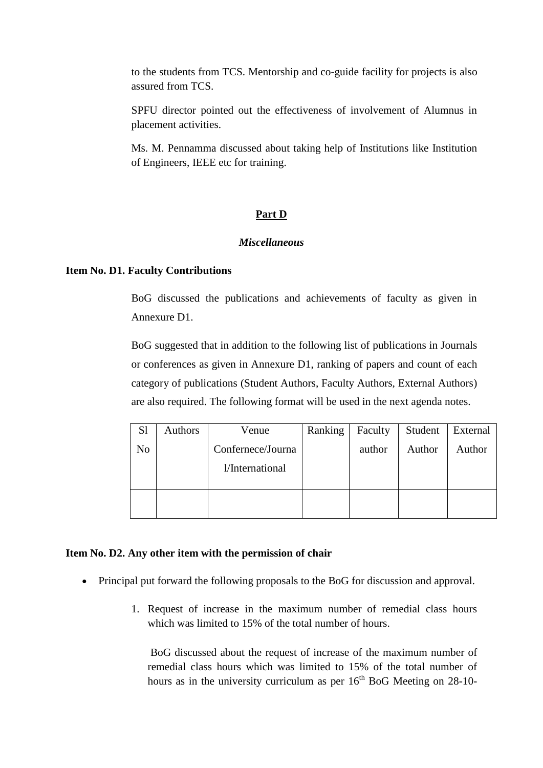to the students from TCS. Mentorship and co-guide facility for projects is also assured from TCS.

SPFU director pointed out the effectiveness of involvement of Alumnus in placement activities.

Ms. M. Pennamma discussed about taking help of Institutions like Institution of Engineers, IEEE etc for training.

#### **Part D**

#### *Miscellaneous*

#### **Item No. D1. Faculty Contributions**

BoG discussed the publications and achievements of faculty as given in Annexure D1.

BoG suggested that in addition to the following list of publications in Journals or conferences as given in Annexure D1, ranking of papers and count of each category of publications (Student Authors, Faculty Authors, External Authors) are also required. The following format will be used in the next agenda notes.

| S <sub>1</sub> | Authors | Venue             | Ranking | Faculty | Student | External |
|----------------|---------|-------------------|---------|---------|---------|----------|
| N <sub>o</sub> |         | Confernece/Journa |         | author  | Author  | Author   |
|                |         | l/International   |         |         |         |          |
|                |         |                   |         |         |         |          |

#### **Item No. D2. Any other item with the permission of chair**

- Principal put forward the following proposals to the BoG for discussion and approval.
	- 1. Request of increase in the maximum number of remedial class hours which was limited to 15% of the total number of hours.

BoG discussed about the request of increase of the maximum number of remedial class hours which was limited to 15% of the total number of hours as in the university curriculum as per  $16<sup>th</sup>$  BoG Meeting on 28-10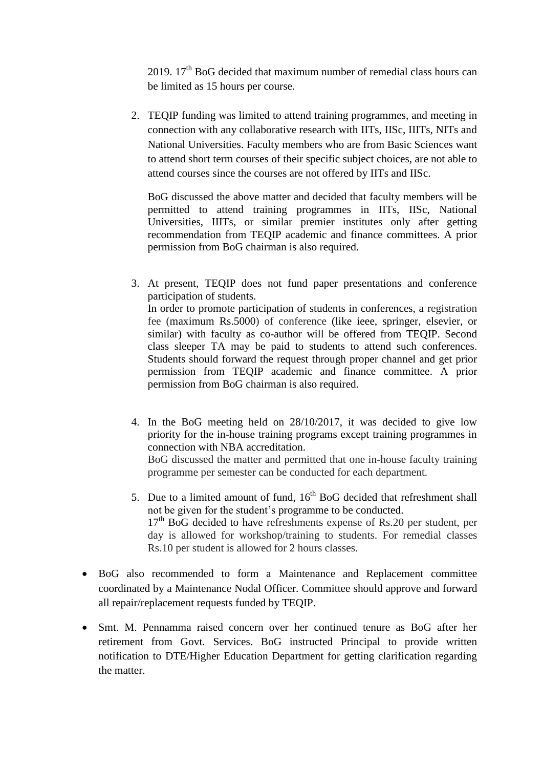2019.  $17<sup>th</sup>$  BoG decided that maximum number of remedial class hours can be limited as 15 hours per course.

2. TEQIP funding was limited to attend training programmes, and meeting in connection with any collaborative research with IITs, IISc, IIITs, NITs and National Universities. Faculty members who are from Basic Sciences want to attend short term courses of their specific subject choices, are not able to attend courses since the courses are not offered by IITs and IISc.

BoG discussed the above matter and decided that faculty members will be permitted to attend training programmes in IITs, IISc, National Universities, IIITs, or similar premier institutes only after getting recommendation from TEQIP academic and finance committees. A prior permission from BoG chairman is also required.

- 3. At present, TEQIP does not fund paper presentations and conference participation of students. In order to promote participation of students in conferences, a registration fee (maximum Rs.5000) of conference (like ieee, springer, elsevier, or similar) with faculty as co-author will be offered from TEQIP. Second class sleeper TA may be paid to students to attend such conferences. Students should forward the request through proper channel and get prior permission from TEQIP academic and finance committee. A prior permission from BoG chairman is also required.
- 4. In the BoG meeting held on 28/10/2017, it was decided to give low priority for the in-house training programs except training programmes in connection with NBA accreditation. BoG discussed the matter and permitted that one in-house faculty training programme per semester can be conducted for each department.
- 5. Due to a limited amount of fund,  $16<sup>th</sup>$  BoG decided that refreshment shall not be given for the student's programme to be conducted. 17<sup>th</sup> BoG decided to have refreshments expense of Rs.20 per student, per day is allowed for workshop/training to students. For remedial classes Rs.10 per student is allowed for 2 hours classes.
- BoG also recommended to form a Maintenance and Replacement committee coordinated by a Maintenance Nodal Officer. Committee should approve and forward all repair/replacement requests funded by TEQIP.
- Smt. M. Pennamma raised concern over her continued tenure as BoG after her retirement from Govt. Services. BoG instructed Principal to provide written notification to DTE/Higher Education Department for getting clarification regarding the matter.